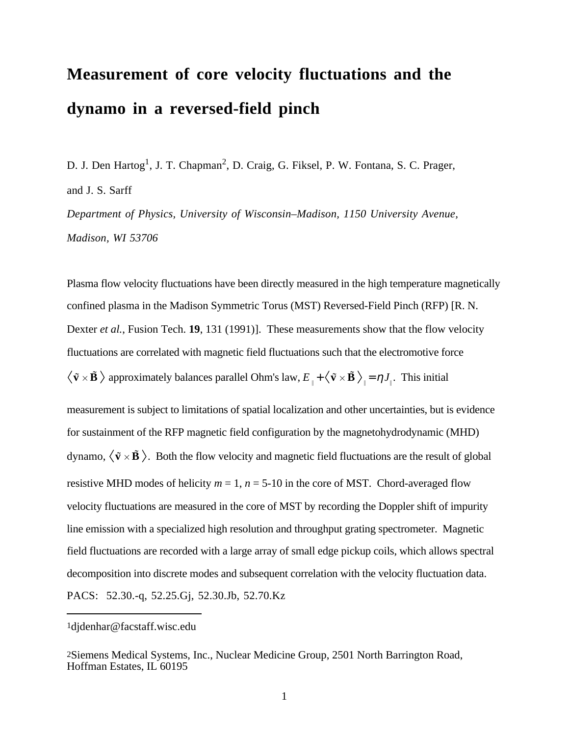# **Measurement of core velocity fluctuations and the dynamo in a reversed-field pinch**

D. J. Den Hartog<sup>1</sup>, J. T. Chapman<sup>2</sup>, D. Craig, G. Fiksel, P. W. Fontana, S. C. Prager, and J. S. Sarff

*Department of Physics, University of Wisconsin–Madison, 1150 University Avenue, Madison, WI 53706*

Plasma flow velocity fluctuations have been directly measured in the high temperature magnetically confined plasma in the Madison Symmetric Torus (MST) Reversed-Field Pinch (RFP) [R. N. Dexter *et al.*, Fusion Tech. **19**, 131 (1991)]. These measurements show that the flow velocity fluctuations are correlated with magnetic field fluctuations such that the electromotive force  $\tilde{\mathbf{v}} \times \tilde{\mathbf{B}}$  approximately balances parallel Ohm's law,  $E_{\perp} + \langle \tilde{\mathbf{v}} \times \tilde{\mathbf{B}} \rangle_{\parallel} = \eta J_{\parallel}$ . This initial

measurement is subject to limitations of spatial localization and other uncertainties, but is evidence for sustainment of the RFP magnetic field configuration by the magnetohydrodynamic (MHD) dynamo,  $\langle \tilde{\mathbf{v}} \times \tilde{\mathbf{B}} \rangle$ . Both the flow velocity and magnetic field fluctuations are the result of global resistive MHD modes of helicity  $m = 1$ ,  $n = 5{\text -}10$  in the core of MST. Chord-averaged flow velocity fluctuations are measured in the core of MST by recording the Doppler shift of impurity line emission with a specialized high resolution and throughput grating spectrometer. Magnetic field fluctuations are recorded with a large array of small edge pickup coils, which allows spectral decomposition into discrete modes and subsequent correlation with the velocity fluctuation data. PACS: 52.30.-q, 52.25.Gj, 52.30.Jb, 52.70.Kz

<sup>1</sup>djdenhar@facstaff.wisc.edu

<sup>2</sup>Siemens Medical Systems, Inc., Nuclear Medicine Group, 2501 North Barrington Road, Hoffman Estates, IL 60195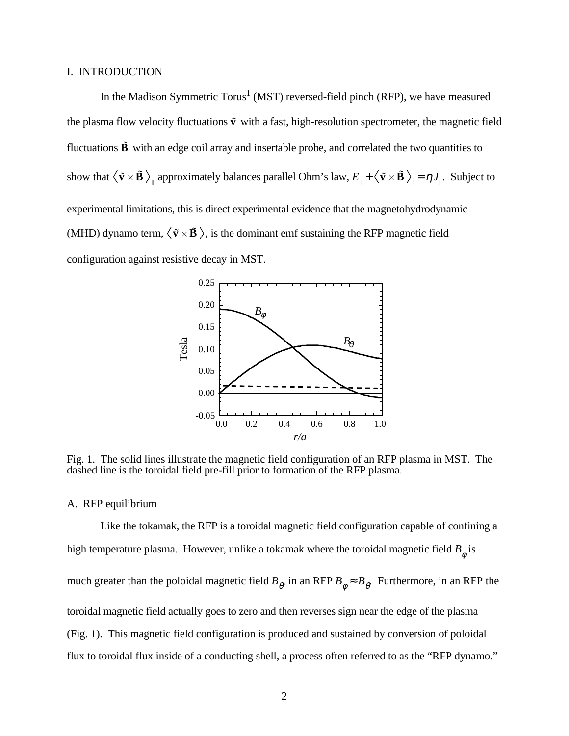### I. INTRODUCTION

In the Madison Symmetric Torus<sup>1</sup> (MST) reversed-field pinch (RFP), we have measured the plasma flow velocity fluctuations  $\tilde{v}$  with a fast, high-resolution spectrometer, the magnetic field fluctuations  $\tilde{B}$  with an edge coil array and insertable probe, and correlated the two quantities to show that  $\langle \tilde{v} \times \tilde{B} \rangle$  approximately balances parallel Ohm's law,  $E_{\perp} + \langle \tilde{v} \times \tilde{B} \rangle = \eta J_{\perp}$ . Subject to experimental limitations, this is direct experimental evidence that the magnetohydrodynamic (MHD) dynamo term,  $\langle \tilde{v} \times \tilde{B} \rangle$ , is the dominant emf sustaining the RFP magnetic field configuration against resistive decay in MST.



Fig. 1. The solid lines illustrate the magnetic field configuration of an RFP plasma in MST. The dashed line is the toroidal field pre-fill prior to formation of the RFP plasma.

### A. RFP equilibrium

Like the tokamak, the RFP is a toroidal magnetic field configuration capable of confining a high temperature plasma. However, unlike a tokamak where the toroidal magnetic field  $B_{\phi}^{\vphantom{\dag}}$  is much greater than the poloidal magnetic field  $B_{\rho}$  in an RFP  $B_{\phi} \approx B_{\theta}$ . Furthermore, in an RFP the toroidal magnetic field actually goes to zero and then reverses sign near the edge of the plasma (Fig. 1). This magnetic field configuration is produced and sustained by conversion of poloidal flux to toroidal flux inside of a conducting shell, a process often referred to as the "RFP dynamo."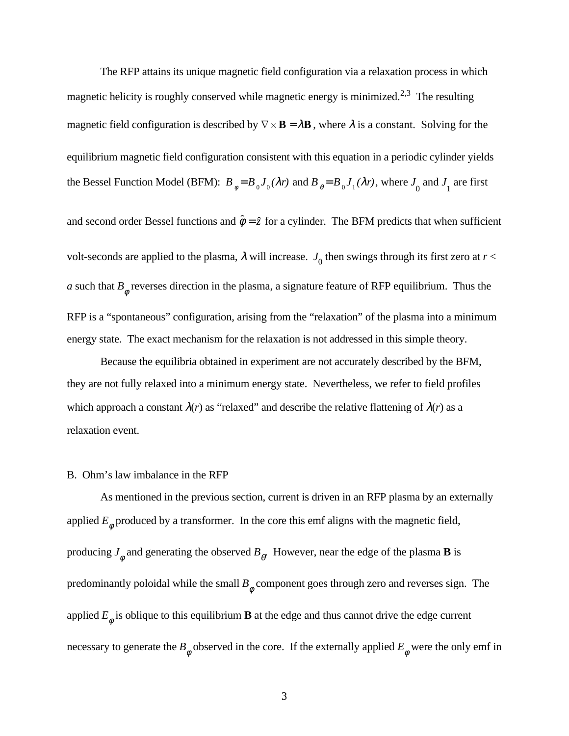The RFP attains its unique magnetic field configuration via a relaxation process in which magnetic helicity is roughly conserved while magnetic energy is minimized.<sup>2,3</sup> The resulting magnetic field configuration is described by  $\nabla \times \mathbf{B} = \lambda \mathbf{B}$ , where  $\lambda$  is a constant. Solving for the equilibrium magnetic field configuration consistent with this equation in a periodic cylinder yields the Bessel Function Model (BFM):  $B_{\phi} = B_0 J_0(\lambda r)$  and  $B_{\theta} = B_0 J_1(\lambda r)$ , where  $J_0$  and  $J_1$  are first

and second order Bessel functions and  $\hat{\phi} = \hat{z}$  for a cylinder. The BFM predicts that when sufficient volt-seconds are applied to the plasma,  $\lambda$  will increase.  $J_0$  then swings through its first zero at  $r$  < *a* such that  $B_{\phi}$  reverses direction in the plasma, a signature feature of RFP equilibrium. Thus the RFP is a "spontaneous" configuration, arising from the "relaxation" of the plasma into a minimum energy state. The exact mechanism for the relaxation is not addressed in this simple theory.

Because the equilibria obtained in experiment are not accurately described by the BFM, they are not fully relaxed into a minimum energy state. Nevertheless, we refer to field profiles which approach a constant  $\lambda(r)$  as "relaxed" and describe the relative flattening of  $\lambda(r)$  as a relaxation event.

### B. Ohm's law imbalance in the RFP

As mentioned in the previous section, current is driven in an RFP plasma by an externally applied  $E_{\phi}$  produced by a transformer. In the core this emf aligns with the magnetic field, producing  $J_{\phi}$  and generating the observed  $B_{\theta}$ . However, near the edge of the plasma **B** is predominantly poloidal while the small  $B_{\phi}$  component goes through zero and reverses sign. The applied  $E_{\phi}$  is oblique to this equilibrium **B** at the edge and thus cannot drive the edge current necessary to generate the  $B_{\phi}$  observed in the core. If the externally applied  $E_{\phi}$  were the only emf in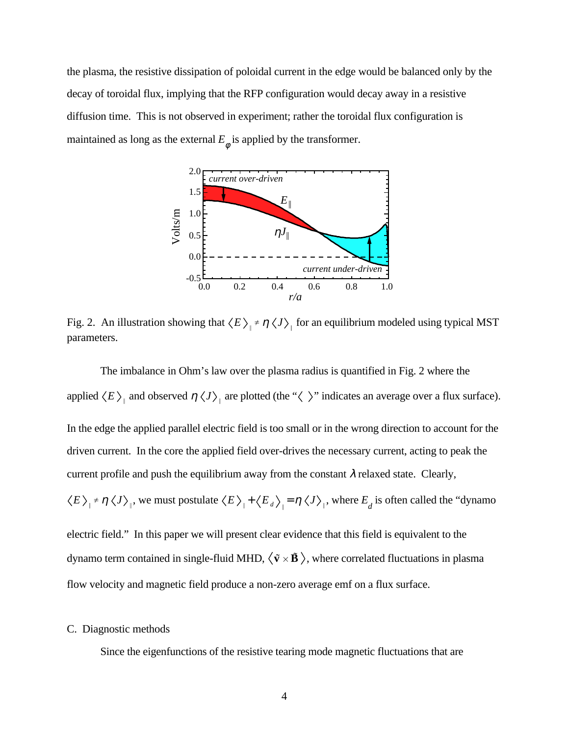the plasma, the resistive dissipation of poloidal current in the edge would be balanced only by the decay of toroidal flux, implying that the RFP configuration would decay away in a resistive diffusion time. This is not observed in experiment; rather the toroidal flux configuration is maintained as long as the external  $E_{\phi}$  is applied by the transformer.



Fig. 2. An illustration showing that  $\langle E \rangle$   $\neq \eta \langle J \rangle$  for an equilibrium modeled using typical MST parameters.

The imbalance in Ohm's law over the plasma radius is quantified in Fig. 2 where the applied  $\langle E \rangle$  and observed  $\eta \langle J \rangle$  are plotted (the " $\langle \rangle$ " indicates an average over a flux surface). In the edge the applied parallel electric field is too small or in the wrong direction to account for the driven current. In the core the applied field over-drives the necessary current, acting to peak the current profile and push the equilibrium away from the constant  $\lambda$  relaxed state. Clearly,  $E \Big|_{\parallel}$   $\neq \eta \langle J \rangle_{\parallel}$ , we must postulate  $\langle E \rangle_{\parallel} + \langle E_a \rangle_{\parallel} = \eta \langle J \rangle_{\parallel}$ , where  $E_a$  is often called the "dynamo" electric field." In this paper we will present clear evidence that this field is equivalent to the dynamo term contained in single-fluid MHD,  $\langle \tilde{v} \times \tilde{B} \rangle$ , where correlated fluctuations in plasma flow velocity and magnetic field produce a non-zero average emf on a flux surface.

### C. Diagnostic methods

Since the eigenfunctions of the resistive tearing mode magnetic fluctuations that are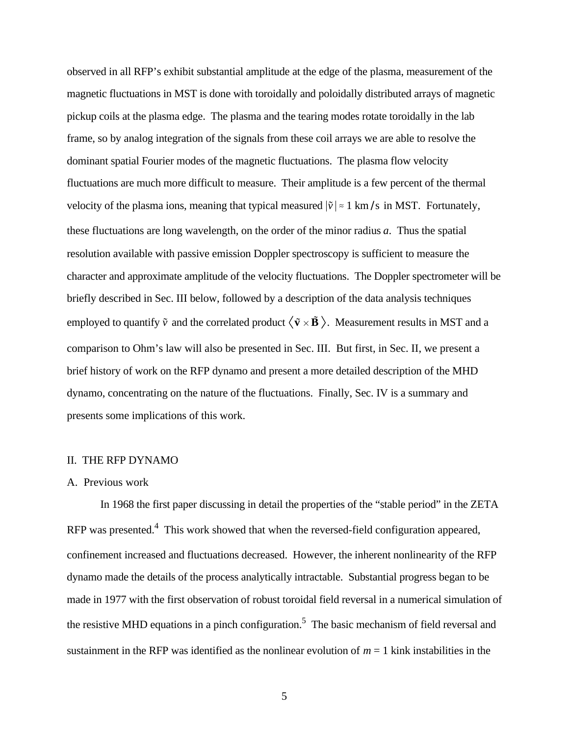observed in all RFP's exhibit substantial amplitude at the edge of the plasma, measurement of the magnetic fluctuations in MST is done with toroidally and poloidally distributed arrays of magnetic pickup coils at the plasma edge. The plasma and the tearing modes rotate toroidally in the lab frame, so by analog integration of the signals from these coil arrays we are able to resolve the dominant spatial Fourier modes of the magnetic fluctuations. The plasma flow velocity fluctuations are much more difficult to measure. Their amplitude is a few percent of the thermal velocity of the plasma ions, meaning that typical measured  $|\tilde{v}| \approx 1 \text{ km/s}$  in MST. Fortunately, these fluctuations are long wavelength, on the order of the minor radius *a*. Thus the spatial resolution available with passive emission Doppler spectroscopy is sufficient to measure the character and approximate amplitude of the velocity fluctuations. The Doppler spectrometer will be briefly described in Sec. III below, followed by a description of the data analysis techniques employed to quantify  $\tilde{v}$  and the correlated product  $\langle \tilde{v} \times \tilde{B} \rangle$ . Measurement results in MST and a comparison to Ohm's law will also be presented in Sec. III. But first, in Sec. II, we present a brief history of work on the RFP dynamo and present a more detailed description of the MHD dynamo, concentrating on the nature of the fluctuations. Finally, Sec. IV is a summary and presents some implications of this work.

# II. THE RFP DYNAMO

#### A. Previous work

In 1968 the first paper discussing in detail the properties of the "stable period" in the ZETA RFP was presented.<sup>4</sup> This work showed that when the reversed-field configuration appeared, confinement increased and fluctuations decreased. However, the inherent nonlinearity of the RFP dynamo made the details of the process analytically intractable. Substantial progress began to be made in 1977 with the first observation of robust toroidal field reversal in a numerical simulation of the resistive MHD equations in a pinch configuration.<sup>5</sup> The basic mechanism of field reversal and sustainment in the RFP was identified as the nonlinear evolution of  $m = 1$  kink instabilities in the

5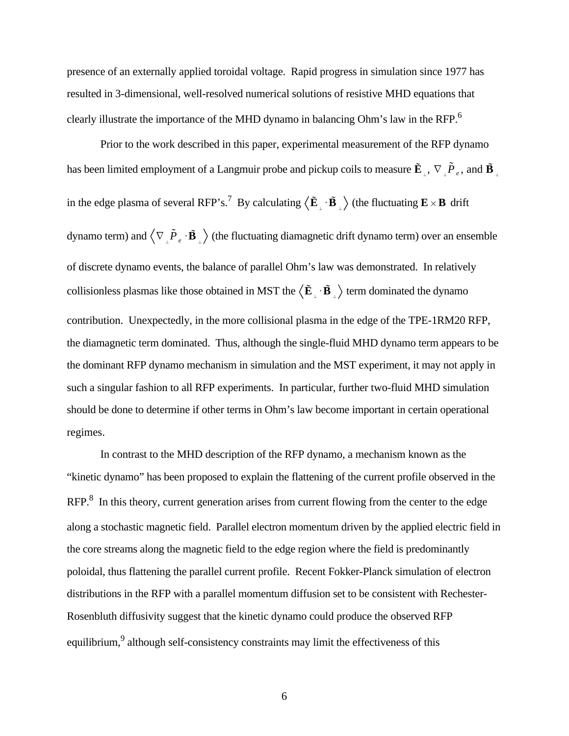presence of an externally applied toroidal voltage. Rapid progress in simulation since 1977 has resulted in 3-dimensional, well-resolved numerical solutions of resistive MHD equations that clearly illustrate the importance of the MHD dynamo in balancing Ohm's law in the RFP.6

Prior to the work described in this paper, experimental measurement of the RFP dynamo has been limited employment of a Langmuir probe and pickup coils to measure  $\tilde{E}_{\perp}$ ,  $\nabla_{\perp} \tilde{P}_{e}$ , and  $\tilde{B}_{\perp}$ in the edge plasma of several RFP's.<sup>7</sup> By calculating  $\big\langle \tilde{\mathbf{E}}_+ \cdot \tilde{\mathbf{B}}_+ \big\rangle$  (the fluctuating  $\mathbf{E} \times \mathbf{B}$  drift dynamo term) and  $\langle \nabla \cdot \tilde{P}_e \cdot \tilde{B} \rangle$  (the fluctuating diamagnetic drift dynamo term) over an ensemble of discrete dynamo events, the balance of parallel Ohm's law was demonstrated. In relatively collisionless plasmas like those obtained in MST the  $\langle \mathbf{E} \cdot \mathbf{B} \rangle$  term dominated the dynamo contribution. Unexpectedly, in the more collisional plasma in the edge of the TPE-1RM20 RFP, the diamagnetic term dominated. Thus, although the single-fluid MHD dynamo term appears to be the dominant RFP dynamo mechanism in simulation and the MST experiment, it may not apply in such a singular fashion to all RFP experiments. In particular, further two-fluid MHD simulation should be done to determine if other terms in Ohm's law become important in certain operational regimes.

In contrast to the MHD description of the RFP dynamo, a mechanism known as the "kinetic dynamo" has been proposed to explain the flattening of the current profile observed in the RFP.<sup>8</sup> In this theory, current generation arises from current flowing from the center to the edge along a stochastic magnetic field. Parallel electron momentum driven by the applied electric field in the core streams along the magnetic field to the edge region where the field is predominantly poloidal, thus flattening the parallel current profile. Recent Fokker-Planck simulation of electron distributions in the RFP with a parallel momentum diffusion set to be consistent with Rechester-Rosenbluth diffusivity suggest that the kinetic dynamo could produce the observed RFP equilibrium, <sup>9</sup> although self-consistency constraints may limit the effectiveness of this

6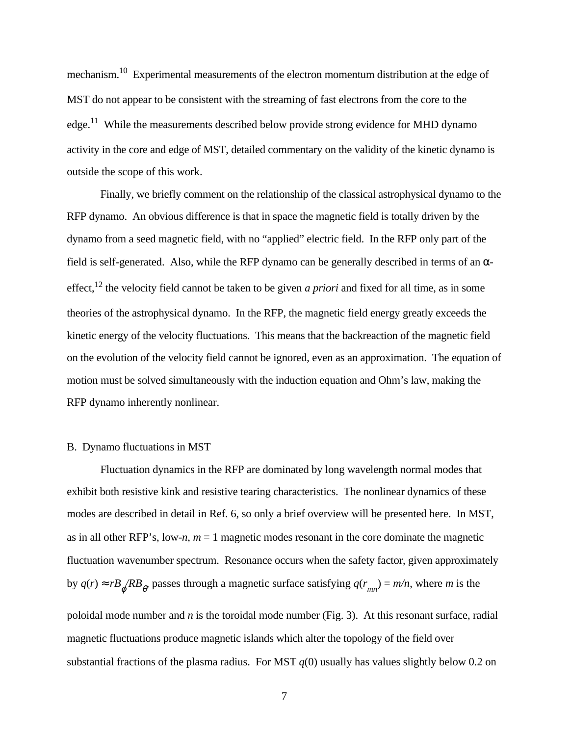mechanism.10 Experimental measurements of the electron momentum distribution at the edge of MST do not appear to be consistent with the streaming of fast electrons from the core to the edge.<sup>11</sup> While the measurements described below provide strong evidence for MHD dynamo activity in the core and edge of MST, detailed commentary on the validity of the kinetic dynamo is outside the scope of this work.

Finally, we briefly comment on the relationship of the classical astrophysical dynamo to the RFP dynamo. An obvious difference is that in space the magnetic field is totally driven by the dynamo from a seed magnetic field, with no "applied" electric field. In the RFP only part of the field is self-generated. Also, while the RFP dynamo can be generally described in terms of an  $\alpha$ effect,12 the velocity field cannot be taken to be given *a priori* and fixed for all time, as in some theories of the astrophysical dynamo. In the RFP, the magnetic field energy greatly exceeds the kinetic energy of the velocity fluctuations. This means that the backreaction of the magnetic field on the evolution of the velocity field cannot be ignored, even as an approximation. The equation of motion must be solved simultaneously with the induction equation and Ohm's law, making the RFP dynamo inherently nonlinear.

### B. Dynamo fluctuations in MST

Fluctuation dynamics in the RFP are dominated by long wavelength normal modes that exhibit both resistive kink and resistive tearing characteristics. The nonlinear dynamics of these modes are described in detail in Ref. 6, so only a brief overview will be presented here. In MST, as in all other RFP's, low-*n*, *m* = 1 magnetic modes resonant in the core dominate the magnetic fluctuation wavenumber spectrum. Resonance occurs when the safety factor, given approximately by  $q(r) \approx rB \cdot \frac{B}{r}$  passes through a magnetic surface satisfying  $q(r_{mn}) = m/n$ , where *m* is the poloidal mode number and *n* is the toroidal mode number (Fig. 3). At this resonant surface, radial magnetic fluctuations produce magnetic islands which alter the topology of the field over

7

substantial fractions of the plasma radius. For MST  $q(0)$  usually has values slightly below 0.2 on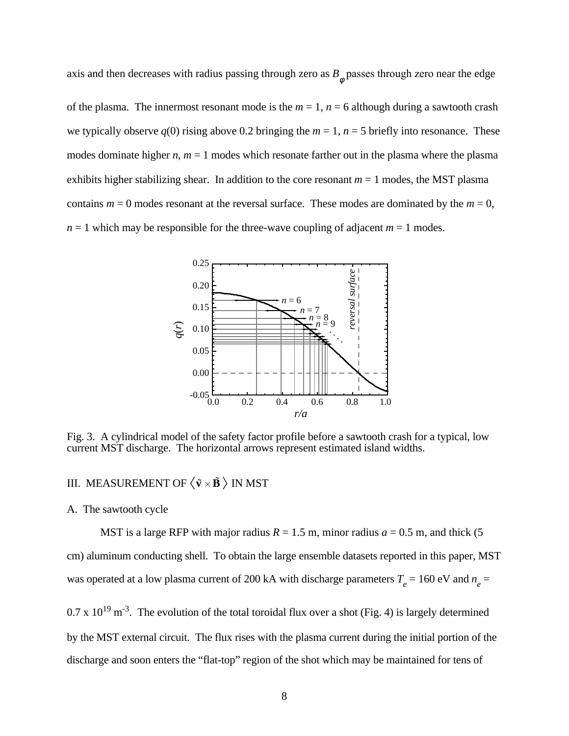axis and then decreases with radius passing through zero as  $B_{\phi}$  passes through zero near the edge of the plasma. The innermost resonant mode is the  $m = 1$ ,  $n = 6$  although during a sawtooth crash we typically observe  $q(0)$  rising above 0.2 bringing the  $m = 1$ ,  $n = 5$  briefly into resonance. These modes dominate higher  $n, m = 1$  modes which resonate farther out in the plasma where the plasma exhibits higher stabilizing shear. In addition to the core resonant  $m = 1$  modes, the MST plasma contains  $m = 0$  modes resonant at the reversal surface. These modes are dominated by the  $m = 0$ ,  $n = 1$  which may be responsible for the three-wave coupling of adjacent  $m = 1$  modes.



Fig. 3. A cylindrical model of the safety factor profile before a sawtooth crash for a typical, low current MST discharge. The horizontal arrows represent estimated island widths.

# III. MEASUREMENT OF  $\langle \tilde{\mathbf{v}} \times \tilde{\mathbf{B}} \rangle$  IN MST

## A. The sawtooth cycle

MST is a large RFP with major radius  $R = 1.5$  m, minor radius  $a = 0.5$  m, and thick (5) cm) aluminum conducting shell. To obtain the large ensemble datasets reported in this paper, MST was operated at a low plasma current of 200 kA with discharge parameters  $T_e = 160 \text{ eV}$  and  $n_e =$ 

 $0.7 \times 10^{19}$  m<sup>-3</sup>. The evolution of the total toroidal flux over a shot (Fig. 4) is largely determined by the MST external circuit. The flux rises with the plasma current during the initial portion of the discharge and soon enters the "flat-top" region of the shot which may be maintained for tens of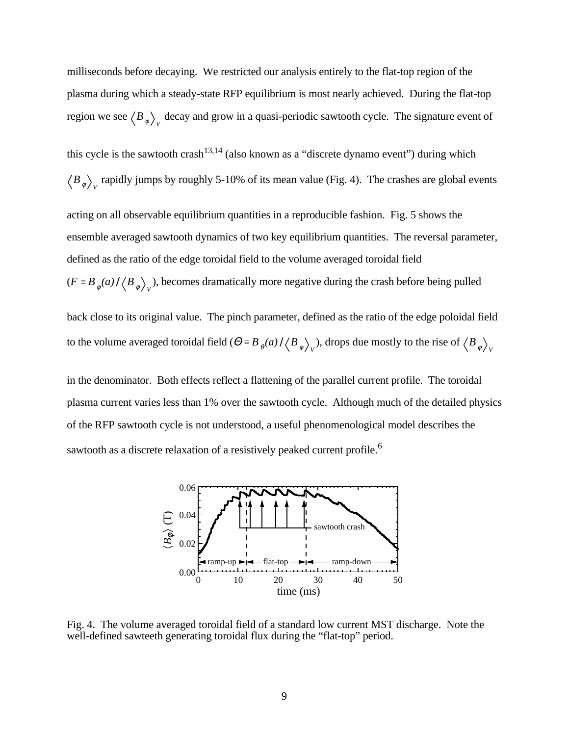milliseconds before decaying. We restricted our analysis entirely to the flat-top region of the plasma during which a steady-state RFP equilibrium is most nearly achieved. During the flat-top region we see  $\langle B_{\phi} \rangle_{V}$  decay and grow in a quasi-periodic sawtooth cycle. The signature event of

this cycle is the sawtooth crash<sup>13,14</sup> (also known as a "discrete dynamo event") during which  $B_{\phi}\Big>_{V}$  rapidly jumps by roughly 5-10% of its mean value (Fig. 4). The crashes are global events

acting on all observable equilibrium quantities in a reproducible fashion. Fig. 5 shows the ensemble averaged sawtooth dynamics of two key equilibrium quantities. The reversal parameter, defined as the ratio of the edge toroidal field to the volume averaged toroidal field  $(F \equiv B_{\phi}(a) / \langle B_{\phi} \rangle_{V})$ , becomes dramatically more negative during the crash before being pulled

back close to its original value. The pinch parameter, defined as the ratio of the edge poloidal field to the volume averaged toroidal field  $(\Theta \equiv B_{\theta}(a) / \langle B_{\phi} \rangle_{V})$ , drops due mostly to the rise of  $\langle B_{\phi} \rangle_{V}$ 

in the denominator. Both effects reflect a flattening of the parallel current profile. The toroidal plasma current varies less than 1% over the sawtooth cycle. Although much of the detailed physics of the RFP sawtooth cycle is not understood, a useful phenomenological model describes the sawtooth as a discrete relaxation of a resistively peaked current profile.<sup>6</sup>



Fig. 4. The volume averaged toroidal field of a standard low current MST discharge. Note the well-defined sawteeth generating toroidal flux during the "flat-top" period.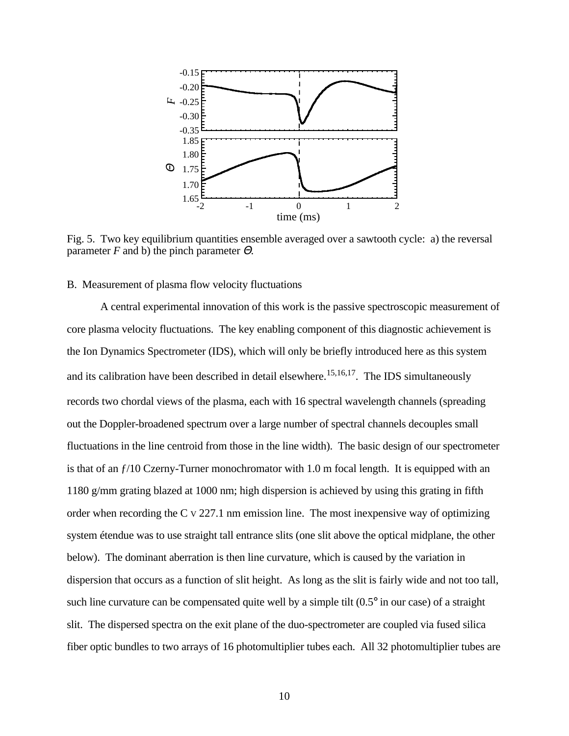

Fig. 5. Two key equilibrium quantities ensemble averaged over a sawtooth cycle: a) the reversal parameter *F* and b) the pinch parameter  $\Theta$ .

### B. Measurement of plasma flow velocity fluctuations

A central experimental innovation of this work is the passive spectroscopic measurement of core plasma velocity fluctuations. The key enabling component of this diagnostic achievement is the Ion Dynamics Spectrometer (IDS), which will only be briefly introduced here as this system and its calibration have been described in detail elsewhere.<sup>15,16,17</sup>. The IDS simultaneously records two chordal views of the plasma, each with 16 spectral wavelength channels (spreading out the Doppler-broadened spectrum over a large number of spectral channels decouples small fluctuations in the line centroid from those in the line width). The basic design of our spectrometer is that of an  $f/10$  Czerny-Turner monochromator with 1.0 m focal length. It is equipped with an 1180 g/mm grating blazed at 1000 nm; high dispersion is achieved by using this grating in fifth order when recording the C V 227.1 nm emission line. The most inexpensive way of optimizing system étendue was to use straight tall entrance slits (one slit above the optical midplane, the other below). The dominant aberration is then line curvature, which is caused by the variation in dispersion that occurs as a function of slit height. As long as the slit is fairly wide and not too tall, such line curvature can be compensated quite well by a simple tilt  $(0.5^{\circ})$  in our case) of a straight slit. The dispersed spectra on the exit plane of the duo-spectrometer are coupled via fused silica fiber optic bundles to two arrays of 16 photomultiplier tubes each. All 32 photomultiplier tubes are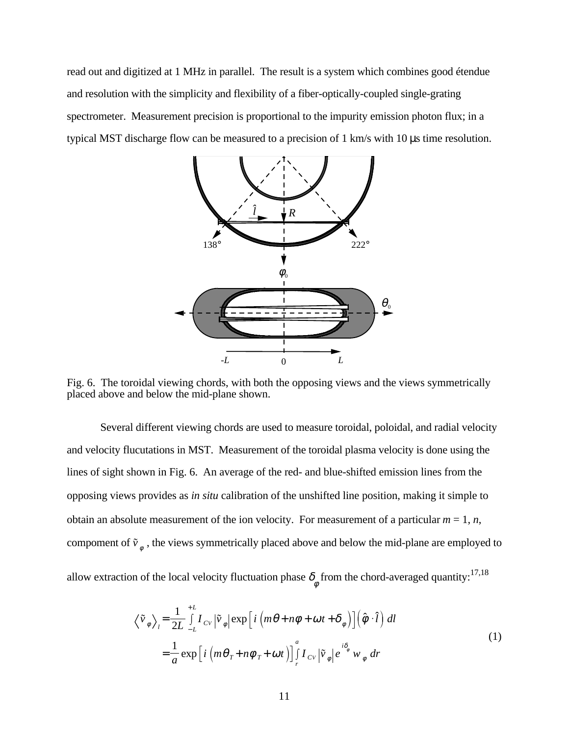read out and digitized at 1 MHz in parallel. The result is a system which combines good étendue and resolution with the simplicity and flexibility of a fiber-optically-coupled single-grating spectrometer. Measurement precision is proportional to the impurity emission photon flux; in a typical MST discharge flow can be measured to a precision of 1 km/s with 10 µs time resolution.



Fig. 6. The toroidal viewing chords, with both the opposing views and the views symmetrically placed above and below the mid-plane shown.

Several different viewing chords are used to measure toroidal, poloidal, and radial velocity and velocity flucutations in MST. Measurement of the toroidal plasma velocity is done using the lines of sight shown in Fig. 6. An average of the red- and blue-shifted emission lines from the opposing views provides as *in situ* calibration of the unshifted line position, making it simple to obtain an absolute measurement of the ion velocity. For measurement of a particular  $m = 1$ ,  $n$ , compoment of  $\tilde{v}_{\phi}$ , the views symmetrically placed above and below the mid-plane are employed to

allow extraction of the local velocity fluctuation phase  $\delta_{\phi}$  from the chord-averaged quantity:<sup>17,18</sup>

$$
\left\langle \tilde{v}_{\phi} \right\rangle_{l} = \frac{1}{2L} \int_{-L}^{+L} I_{CV} |\tilde{v}_{\phi}| \exp \left[ i \left( m\theta + n\phi + \omega t + \delta_{\phi} \right) \right] \left( \hat{\phi} \cdot \hat{l} \right) dl
$$
  

$$
= \frac{1}{a} \exp \left[ i \left( m\theta_{T} + n\phi_{T} + \omega t \right) \right] \int_{r}^{a} I_{CV} |\tilde{v}_{\phi}| e^{i\delta_{\phi}} w_{\phi} dr
$$
 (1)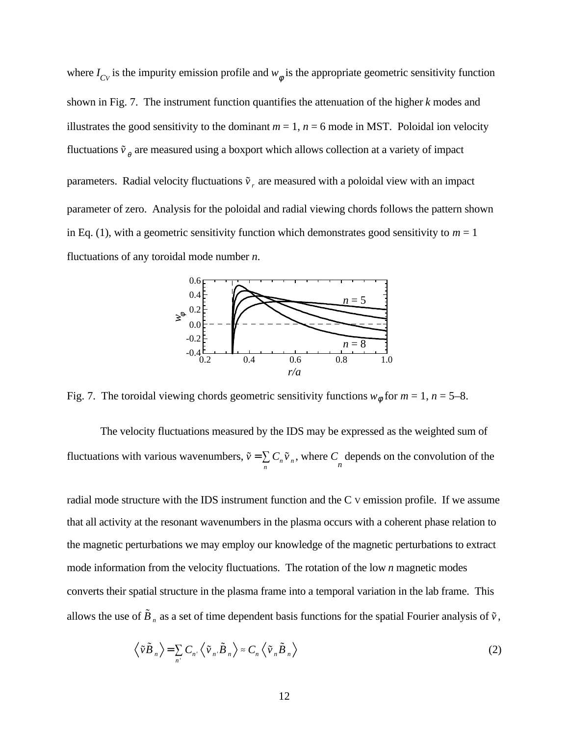where  $I_{CV}$  is the impurity emission profile and  $w_{\phi}$  is the appropriate geometric sensitivity function shown in Fig. 7. The instrument function quantifies the attenuation of the higher *k* modes and illustrates the good sensitivity to the dominant  $m = 1$ ,  $n = 6$  mode in MST. Poloidal ion velocity fluctuations  $\tilde{v}_\rho$  are measured using a boxport which allows collection at a variety of impact parameters. Radial velocity fluctuations  $\tilde{v}_r$  are measured with a poloidal view with an impact parameter of zero. Analysis for the poloidal and radial viewing chords follows the pattern shown in Eq. (1), with a geometric sensitivity function which demonstrates good sensitivity to  $m = 1$ fluctuations of any toroidal mode number *n*.



Fig. 7. The toroidal viewing chords geometric sensitivity functions  $w_{\phi}$  for  $m = 1$ ,  $n = 5-8$ .

The velocity fluctuations measured by the IDS may be expressed as the weighted sum of fluctuations with various wavenumbers,  $\tilde{v} = \sum$  6  $\sum_{n} C_n \tilde{v}_n$ , where  $C_n$  depends on the convolution of the

radial mode structure with the IDS instrument function and the C V emission profile. If we assume that all activity at the resonant wavenumbers in the plasma occurs with a coherent phase relation to the magnetic perturbations we may employ our knowledge of the magnetic perturbations to extract mode information from the velocity fluctuations. The rotation of the low *n* magnetic modes converts their spatial structure in the plasma frame into a temporal variation in the lab frame. This allows the use of  $\tilde{B}_n$  as a set of time dependent basis functions for the spatial Fourier analysis of  $\tilde{v}$ ,

$$
\left\langle \tilde{\nu}\tilde{B}_n \right\rangle = \sum_{n'} C_{n'} \left\langle \tilde{\nu}_n \tilde{B}_n \right\rangle \approx C_n \left\langle \tilde{\nu}_n \tilde{B}_n \right\rangle
$$
 (2)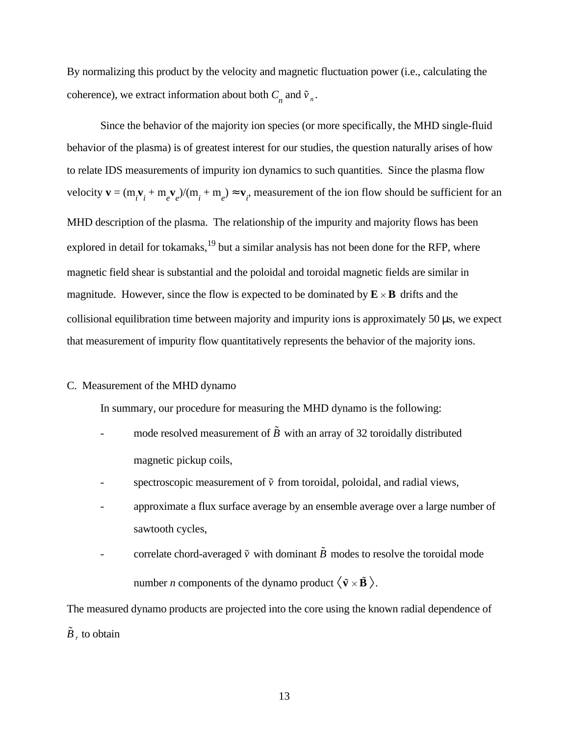By normalizing this product by the velocity and magnetic fluctuation power (i.e., calculating the coherence), we extract information about both  $C_n$  and  $\tilde{v}_n$ .

Since the behavior of the majority ion species (or more specifically, the MHD single-fluid behavior of the plasma) is of greatest interest for our studies, the question naturally arises of how to relate IDS measurements of impurity ion dynamics to such quantities. Since the plasma flow velocity  $\mathbf{v} = (m_i \mathbf{v}_i + m_e \mathbf{v}_e)/(m_i + m_e) \approx \mathbf{v}_i$ , measurement of the ion flow should be sufficient for an MHD description of the plasma. The relationship of the impurity and majority flows has been explored in detail for tokamaks, $19$  but a similar analysis has not been done for the RFP, where magnetic field shear is substantial and the poloidal and toroidal magnetic fields are similar in magnitude. However, since the flow is expected to be dominated by  $\mathbf{E} \times \mathbf{B}$  drifts and the collisional equilibration time between majority and impurity ions is approximately 50 µs, we expect that measurement of impurity flow quantitatively represents the behavior of the majority ions.

## C. Measurement of the MHD dynamo

In summary, our procedure for measuring the MHD dynamo is the following:

- mode resolved measurement of  $\tilde{B}$  with an array of 32 toroidally distributed magnetic pickup coils,
- spectroscopic measurement of  $\tilde{v}$  from toroidal, poloidal, and radial views,
- approximate a flux surface average by an ensemble average over a large number of sawtooth cycles,
- correlate chord-averaged  $\tilde{v}$  with dominant  $\tilde{B}$  modes to resolve the toroidal mode number *n* components of the dynamo product  $\langle \tilde{\mathbf{v}} \times \tilde{\mathbf{B}} \rangle$ .

The measured dynamo products are projected into the core using the known radial dependence of  $\tilde{B}$ , to obtain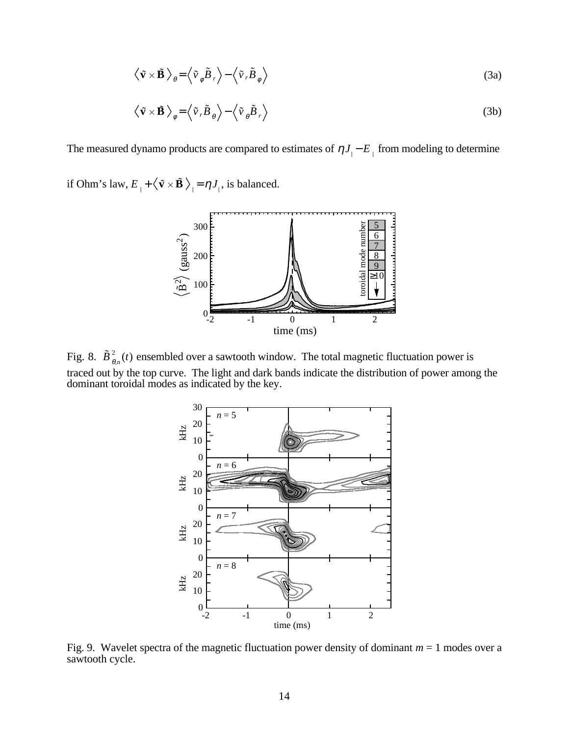$$
\left\langle \tilde{\mathbf{v}} \times \tilde{\mathbf{B}} \right\rangle_{\theta} = \left\langle \tilde{v}_{\phi} \tilde{B}_{r} \right\rangle - \left\langle \tilde{v}_{r} \tilde{B}_{\phi} \right\rangle \tag{3a}
$$

$$
\left\langle \tilde{\mathbf{v}} \times \tilde{\mathbf{B}} \right\rangle_{\phi} = \left\langle \tilde{\mathbf{v}}_{r} \tilde{\mathbf{B}}_{\theta} \right\rangle - \left\langle \tilde{\mathbf{v}}_{\theta} \tilde{\mathbf{B}}_{r} \right\rangle \tag{3b}
$$

The measured dynamo products are compared to estimates of  $\eta J_{\parallel} - E_{\parallel}$  from modeling to determine

if Ohm's law,  $E_{\perp} + \langle \tilde{\mathbf{v}} \times \tilde{\mathbf{B}} \rangle_{\parallel} = \eta J_{\parallel}$ , is balanced.



Fig. 8.  $\tilde{B}^2_{\theta,n}(t)$  ensembled over a sawtooth window. The total magnetic fluctuation power is traced out by the top curve. The light and dark bands indicate the distribution of power among the dominant toroidal modes as indicated by the key.



Fig. 9. Wavelet spectra of the magnetic fluctuation power density of dominant *m* = 1 modes over a sawtooth cycle.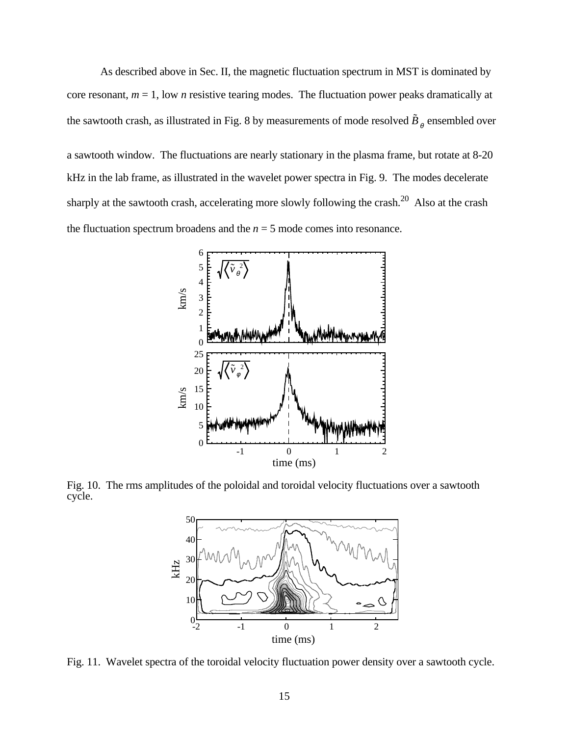As described above in Sec. II, the magnetic fluctuation spectrum in MST is dominated by core resonant, *m* = 1, low *n* resistive tearing modes. The fluctuation power peaks dramatically at the sawtooth crash, as illustrated in Fig. 8 by measurements of mode resolved  $\tilde{B}_{_{\theta}}$  ensembled over

a sawtooth window. The fluctuations are nearly stationary in the plasma frame, but rotate at 8-20 kHz in the lab frame, as illustrated in the wavelet power spectra in Fig. 9. The modes decelerate sharply at the sawtooth crash, accelerating more slowly following the crash.<sup>20</sup> Also at the crash the fluctuation spectrum broadens and the  $n = 5$  mode comes into resonance.



Fig. 10. The rms amplitudes of the poloidal and toroidal velocity fluctuations over a sawtooth cycle.



Fig. 11. Wavelet spectra of the toroidal velocity fluctuation power density over a sawtooth cycle.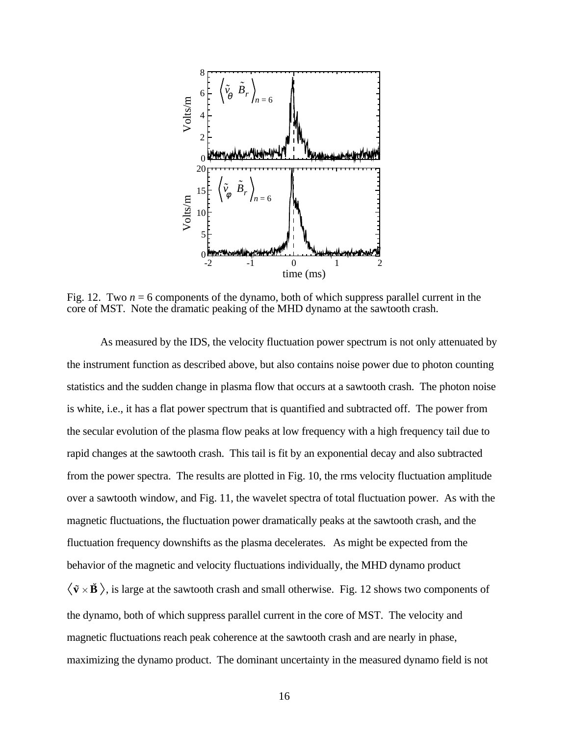

Fig. 12. Two *n* = 6 components of the dynamo, both of which suppress parallel current in the core of MST. Note the dramatic peaking of the MHD dynamo at the sawtooth crash.

As measured by the IDS, the velocity fluctuation power spectrum is not only attenuated by the instrument function as described above, but also contains noise power due to photon counting statistics and the sudden change in plasma flow that occurs at a sawtooth crash. The photon noise is white, i.e., it has a flat power spectrum that is quantified and subtracted off. The power from the secular evolution of the plasma flow peaks at low frequency with a high frequency tail due to rapid changes at the sawtooth crash. This tail is fit by an exponential decay and also subtracted from the power spectra. The results are plotted in Fig. 10, the rms velocity fluctuation amplitude over a sawtooth window, and Fig. 11, the wavelet spectra of total fluctuation power. As with the magnetic fluctuations, the fluctuation power dramatically peaks at the sawtooth crash, and the fluctuation frequency downshifts as the plasma decelerates. As might be expected from the behavior of the magnetic and velocity fluctuations individually, the MHD dynamo product  $\langle \tilde{\mathbf{v}} \times \tilde{\mathbf{B}} \rangle$ , is large at the sawtooth crash and small otherwise. Fig. 12 shows two components of the dynamo, both of which suppress parallel current in the core of MST. The velocity and magnetic fluctuations reach peak coherence at the sawtooth crash and are nearly in phase, maximizing the dynamo product. The dominant uncertainty in the measured dynamo field is not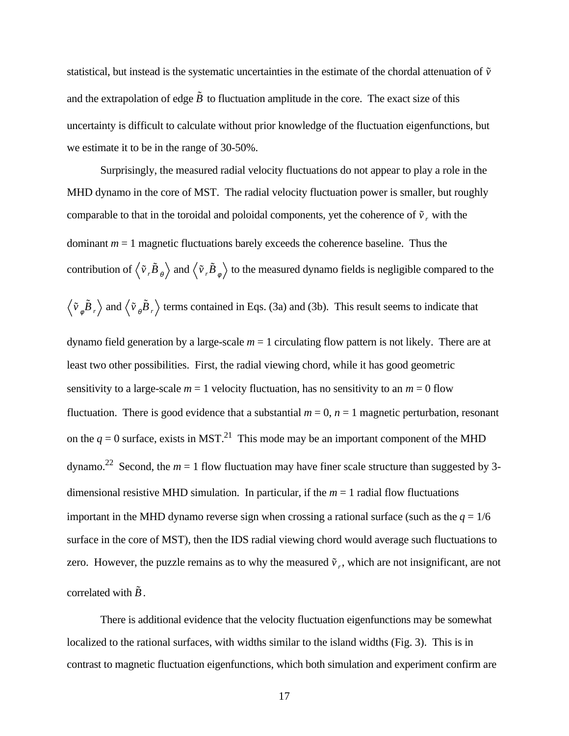statistical, but instead is the systematic uncertainties in the estimate of the chordal attenuation of  $\tilde{v}$ and the extrapolation of edge  $\tilde{B}$  to fluctuation amplitude in the core. The exact size of this uncertainty is difficult to calculate without prior knowledge of the fluctuation eigenfunctions, but we estimate it to be in the range of 30-50%.

Surprisingly, the measured radial velocity fluctuations do not appear to play a role in the MHD dynamo in the core of MST. The radial velocity fluctuation power is smaller, but roughly comparable to that in the toroidal and poloidal components, yet the coherence of  $\tilde{v}$ <sub>r</sub> with the dominant  $m = 1$  magnetic fluctuations barely exceeds the coherence baseline. Thus the contribution of  $\langle \tilde{v}, \tilde{B}_\theta \rangle$  and  $\langle \tilde{v}, \tilde{B}_\phi \rangle$  to the measured dynamo fields is negligible compared to the

$$
\langle \tilde{v}_{\phi} \tilde{B}_r \rangle
$$
 and  $\langle \tilde{v}_{\theta} \tilde{B}_r \rangle$  terms contained in Eqs. (3a) and (3b). This result seems to indicate that

dynamo field generation by a large-scale  $m = 1$  circulating flow pattern is not likely. There are at least two other possibilities. First, the radial viewing chord, while it has good geometric sensitivity to a large-scale  $m = 1$  velocity fluctuation, has no sensitivity to an  $m = 0$  flow fluctuation. There is good evidence that a substantial  $m = 0$ ,  $n = 1$  magnetic perturbation, resonant on the  $q = 0$  surface, exists in MST.<sup>21</sup> This mode may be an important component of the MHD dynamo.<sup>22</sup> Second, the  $m = 1$  flow fluctuation may have finer scale structure than suggested by 3dimensional resistive MHD simulation. In particular, if the *m* = 1 radial flow fluctuations important in the MHD dynamo reverse sign when crossing a rational surface (such as the  $q = 1/6$ ) surface in the core of MST), then the IDS radial viewing chord would average such fluctuations to zero. However, the puzzle remains as to why the measured  $\tilde{v}_r$ , which are not insignificant, are not correlated with  $\tilde{B}$ .

There is additional evidence that the velocity fluctuation eigenfunctions may be somewhat localized to the rational surfaces, with widths similar to the island widths (Fig. 3). This is in contrast to magnetic fluctuation eigenfunctions, which both simulation and experiment confirm are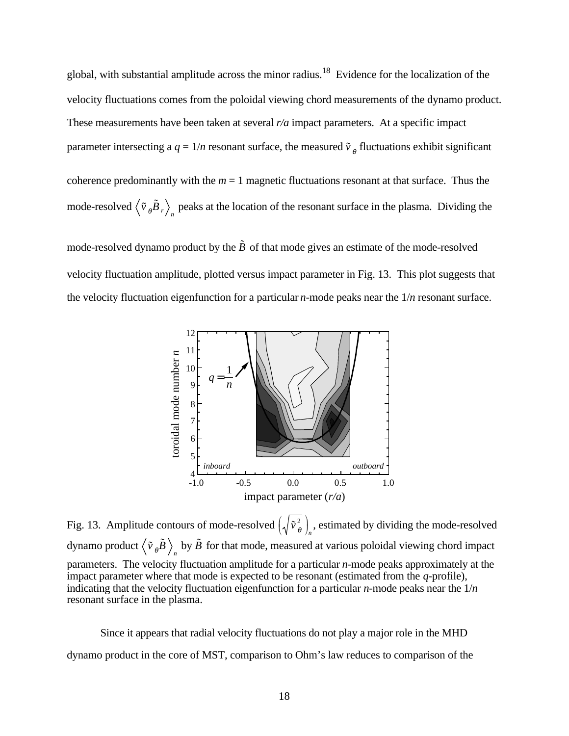global, with substantial amplitude across the minor radius.<sup>18</sup> Evidence for the localization of the velocity fluctuations comes from the poloidal viewing chord measurements of the dynamo product. These measurements have been taken at several *r/a* impact parameters. At a specific impact parameter intersecting a  $q = 1/n$  resonant surface, the measured  $\tilde{v}_\rho$  fluctuations exhibit significant coherence predominantly with the  $m = 1$  magnetic fluctuations resonant at that surface. Thus the mode-resolved  $\langle \tilde{v}_\theta \tilde{B}_r \rangle$ <sub>n</sub> peaks at the location of the resonant surface in the plasma. Dividing the

mode-resolved dynamo product by the  $\tilde{B}$  of that mode gives an estimate of the mode-resolved velocity fluctuation amplitude, plotted versus impact parameter in Fig. 13. This plot suggests that the velocity fluctuation eigenfunction for a particular *n*-mode peaks near the 1/*n* resonant surface.



Fig. 13. Amplitude contours of mode-resolved  $\left(\sqrt{\tilde{v}_{\theta}^2}\right)$  $\mathcal{L}$  $\int_{n}$ , estimated by dividing the mode-resolved dynamo product  $\left<\tilde v_{\theta}\tilde B\right>_n$  by  $\tilde B$  for that mode, measured at various poloidal viewing chord impact parameters. The velocity fluctuation amplitude for a particular *n*-mode peaks approximately at the impact parameter where that mode is expected to be resonant (estimated from the *q*-profile), indicating that the velocity fluctuation eigenfunction for a particular *n*-mode peaks near the 1/*n* resonant surface in the plasma.

Since it appears that radial velocity fluctuations do not play a major role in the MHD dynamo product in the core of MST, comparison to Ohm's law reduces to comparison of the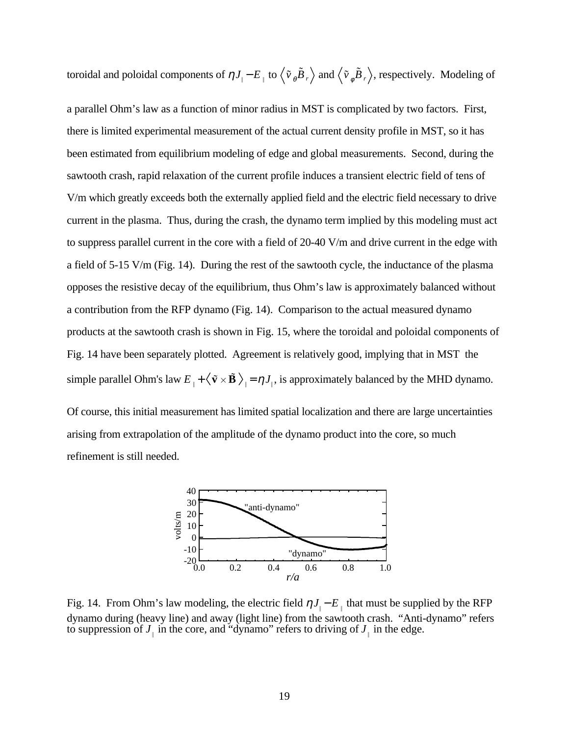toroidal and poloidal components of  $\eta J_{\parallel}-E_{\parallel}$  to  $\langle \tilde{v}_{\theta} \tilde{B}_r \rangle$  and  $\langle \tilde{v}_{\phi} \tilde{B}_r \rangle$ , respectively. Modeling of

a parallel Ohm's law as a function of minor radius in MST is complicated by two factors. First, there is limited experimental measurement of the actual current density profile in MST, so it has been estimated from equilibrium modeling of edge and global measurements. Second, during the sawtooth crash, rapid relaxation of the current profile induces a transient electric field of tens of V/m which greatly exceeds both the externally applied field and the electric field necessary to drive current in the plasma. Thus, during the crash, the dynamo term implied by this modeling must act to suppress parallel current in the core with a field of 20-40 V/m and drive current in the edge with a field of 5-15 V/m (Fig. 14). During the rest of the sawtooth cycle, the inductance of the plasma opposes the resistive decay of the equilibrium, thus Ohm's law is approximately balanced without a contribution from the RFP dynamo (Fig. 14). Comparison to the actual measured dynamo products at the sawtooth crash is shown in Fig. 15, where the toroidal and poloidal components of Fig. 14 have been separately plotted. Agreement is relatively good, implying that in MST the simple parallel Ohm's law  $E_{\perp} + \langle \tilde{v} \times \tilde{B} \rangle_{\parallel} = \eta J_{\parallel}$ , is approximately balanced by the MHD dynamo.

Of course, this initial measurement has limited spatial localization and there are large uncertainties arising from extrapolation of the amplitude of the dynamo product into the core, so much refinement is still needed.



Fig. 14. From Ohm's law modeling, the electric field  $\eta J_{\parallel} - E_{\parallel}$  that must be supplied by the RFP dynamo during (heavy line) and away (light line) from the sawtooth crash. "Anti-dynamo" refers to suppression of  $J_{\perp}$  in the core, and "dynamo" refers to driving of  $J_{\perp}$  in the edge.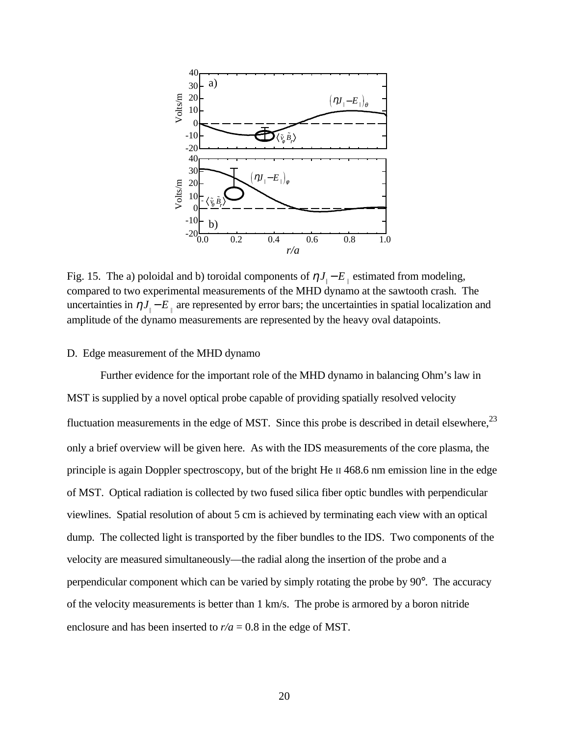

Fig. 15. The a) poloidal and b) toroidal components of  $\eta J_{\parallel} - E_{\parallel}$  estimated from modeling, compared to two experimental measurements of the MHD dynamo at the sawtooth crash. The uncertainties in  $\eta J_{\parallel} - E_{\parallel}$  are represented by error bars; the uncertainties in spatial localization and amplitude of the dynamo measurements are represented by the heavy oval datapoints.

### D. Edge measurement of the MHD dynamo

Further evidence for the important role of the MHD dynamo in balancing Ohm's law in MST is supplied by a novel optical probe capable of providing spatially resolved velocity fluctuation measurements in the edge of MST. Since this probe is described in detail elsewhere,<sup>23</sup> only a brief overview will be given here. As with the IDS measurements of the core plasma, the principle is again Doppler spectroscopy, but of the bright He II 468.6 nm emission line in the edge of MST. Optical radiation is collected by two fused silica fiber optic bundles with perpendicular viewlines. Spatial resolution of about 5 cm is achieved by terminating each view with an optical dump. The collected light is transported by the fiber bundles to the IDS. Two components of the velocity are measured simultaneously—the radial along the insertion of the probe and a perpendicular component which can be varied by simply rotating the probe by 90°. The accuracy of the velocity measurements is better than 1 km/s. The probe is armored by a boron nitride enclosure and has been inserted to  $r/a = 0.8$  in the edge of MST.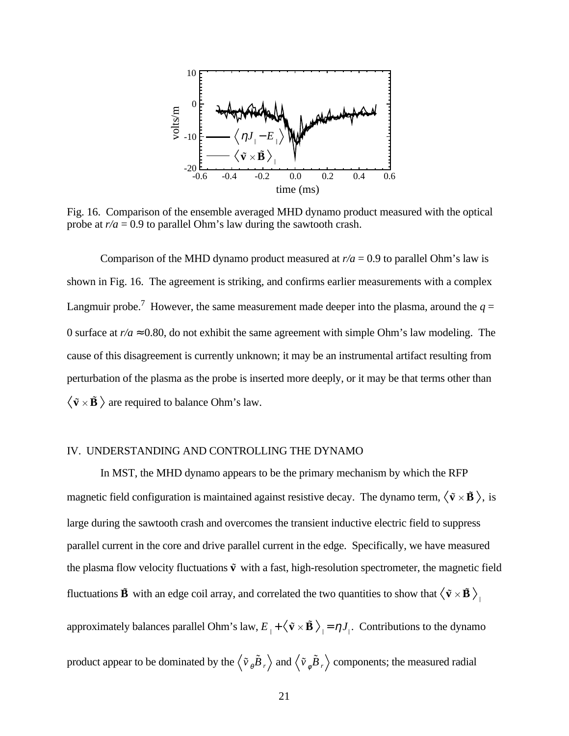

Fig. 16. Comparison of the ensemble averaged MHD dynamo product measured with the optical probe at  $r/a = 0.9$  to parallel Ohm's law during the sawtooth crash.

Comparison of the MHD dynamo product measured at  $r/a = 0.9$  to parallel Ohm's law is shown in Fig. 16. The agreement is striking, and confirms earlier measurements with a complex Langmuir probe.<sup>7</sup> However, the same measurement made deeper into the plasma, around the  $q =$ 0 surface at  $r/a \approx 0.80$ , do not exhibit the same agreement with simple Ohm's law modeling. The cause of this disagreement is currently unknown; it may be an instrumental artifact resulting from perturbation of the plasma as the probe is inserted more deeply, or it may be that terms other than  $\langle \tilde{\mathbf{v}} \times \tilde{\mathbf{B}} \rangle$  are required to balance Ohm's law.

# IV. UNDERSTANDING AND CONTROLLING THE DYNAMO

In MST, the MHD dynamo appears to be the primary mechanism by which the RFP magnetic field configuration is maintained against resistive decay. The dynamo term,  $\langle \tilde{\mathbf{v}} \times \tilde{\mathbf{B}} \rangle$ , is large during the sawtooth crash and overcomes the transient inductive electric field to suppress parallel current in the core and drive parallel current in the edge. Specifically, we have measured the plasma flow velocity fluctuations  $\tilde{\mathbf{v}}$  with a fast, high-resolution spectrometer, the magnetic field fluctuations  $\tilde{\bf B}$  with an edge coil array, and correlated the two quantities to show that  $\big<\tilde{\bf v}\times\tilde{\bf B}\,\big>_{\scriptscriptstyle \Vert}$ approximately balances parallel Ohm's law,  $E_{\perp} + \langle \tilde{v} \times \tilde{B} \rangle_{\parallel} = \eta J_{\parallel}$ . Contributions to the dynamo product appear to be dominated by the  $\langle \tilde{v}_{\theta} \tilde{B}_r \rangle$  and  $\langle \tilde{v}_{\phi} \tilde{B}_r \rangle$  components; the measured radial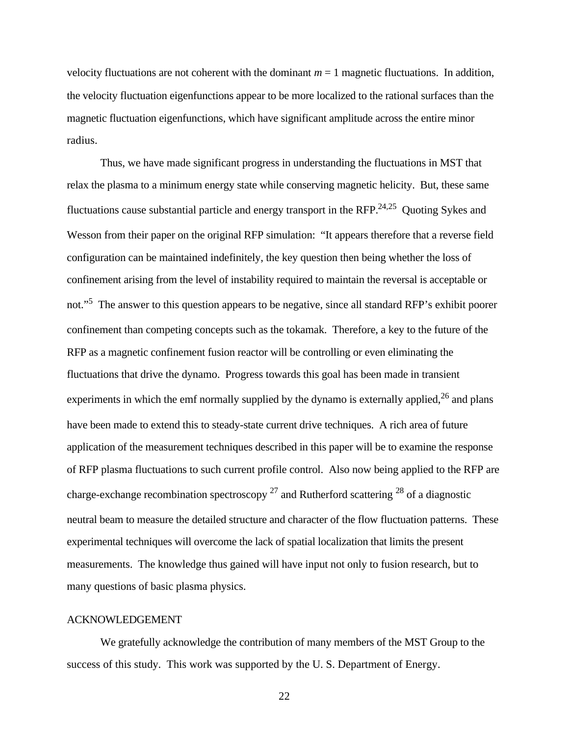velocity fluctuations are not coherent with the dominant  $m = 1$  magnetic fluctuations. In addition, the velocity fluctuation eigenfunctions appear to be more localized to the rational surfaces than the magnetic fluctuation eigenfunctions, which have significant amplitude across the entire minor radius.

Thus, we have made significant progress in understanding the fluctuations in MST that relax the plasma to a minimum energy state while conserving magnetic helicity. But, these same fluctuations cause substantial particle and energy transport in the RFP.<sup>24,25</sup> Quoting Sykes and Wesson from their paper on the original RFP simulation: "It appears therefore that a reverse field configuration can be maintained indefinitely, the key question then being whether the loss of confinement arising from the level of instability required to maintain the reversal is acceptable or not."<sup>5</sup> The answer to this question appears to be negative, since all standard RFP's exhibit poorer confinement than competing concepts such as the tokamak. Therefore, a key to the future of the RFP as a magnetic confinement fusion reactor will be controlling or even eliminating the fluctuations that drive the dynamo. Progress towards this goal has been made in transient experiments in which the emf normally supplied by the dynamo is externally applied, $^{26}$  and plans have been made to extend this to steady-state current drive techniques. A rich area of future application of the measurement techniques described in this paper will be to examine the response of RFP plasma fluctuations to such current profile control. Also now being applied to the RFP are charge-exchange recombination spectroscopy  $27$  and Rutherford scattering  $28$  of a diagnostic neutral beam to measure the detailed structure and character of the flow fluctuation patterns. These experimental techniques will overcome the lack of spatial localization that limits the present measurements. The knowledge thus gained will have input not only to fusion research, but to many questions of basic plasma physics.

### ACKNOWLEDGEMENT

We gratefully acknowledge the contribution of many members of the MST Group to the success of this study. This work was supported by the U. S. Department of Energy.

22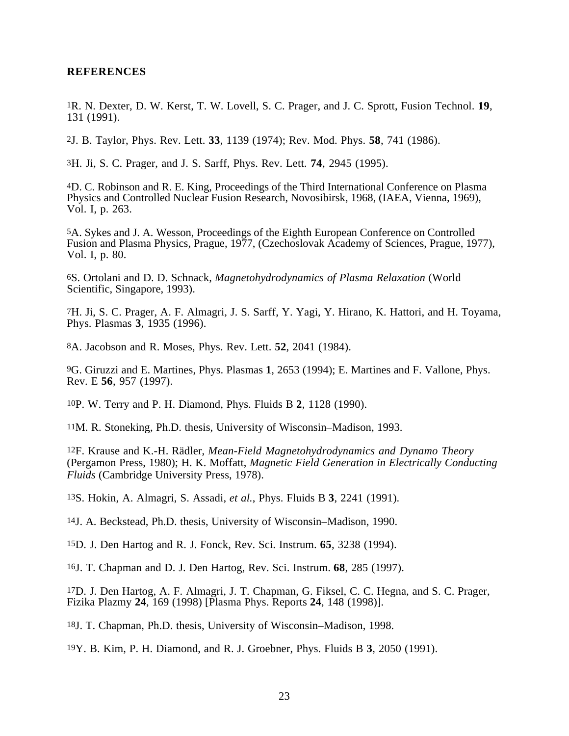### **REFERENCES**

1R. N. Dexter, D. W. Kerst, T. W. Lovell, S. C. Prager, and J. C. Sprott, Fusion Technol. **19**, 131 (1991).

2J. B. Taylor, Phys. Rev. Lett. **33**, 1139 (1974); Rev. Mod. Phys. **58**, 741 (1986).

3H. Ji, S. C. Prager, and J. S. Sarff, Phys. Rev. Lett. **74**, 2945 (1995).

4D. C. Robinson and R. E. King, Proceedings of the Third International Conference on Plasma Physics and Controlled Nuclear Fusion Research, Novosibirsk, 1968, (IAEA, Vienna, 1969), Vol. I, p. 263.

5A. Sykes and J. A. Wesson, Proceedings of the Eighth European Conference on Controlled Fusion and Plasma Physics, Prague, 1977, (Czechoslovak Academy of Sciences, Prague, 1977), Vol. I, p. 80.

6S. Ortolani and D. D. Schnack, *Magnetohydrodynamics of Plasma Relaxation* (World Scientific, Singapore, 1993).

7H. Ji, S. C. Prager, A. F. Almagri, J. S. Sarff, Y. Yagi, Y. Hirano, K. Hattori, and H. Toyama, Phys. Plasmas **3**, 1935 (1996).

8A. Jacobson and R. Moses, Phys. Rev. Lett. **52**, 2041 (1984).

9G. Giruzzi and E. Martines, Phys. Plasmas **1**, 2653 (1994); E. Martines and F. Vallone, Phys. Rev. E **56**, 957 (1997).

10P. W. Terry and P. H. Diamond, Phys. Fluids B **2**, 1128 (1990).

11M. R. Stoneking, Ph.D. thesis, University of Wisconsin–Madison, 1993.

12F. Krause and K.-H. Rädler, *Mean-Field Magnetohydrodynamics and Dynamo Theory* (Pergamon Press, 1980); H. K. Moffatt, *Magnetic Field Generation in Electrically Conducting Fluids* (Cambridge University Press, 1978).

13S. Hokin, A. Almagri, S. Assadi, *et al.*, Phys. Fluids B **3**, 2241 (1991).

14J. A. Beckstead, Ph.D. thesis, University of Wisconsin–Madison, 1990.

15D. J. Den Hartog and R. J. Fonck, Rev. Sci. Instrum. **65**, 3238 (1994).

16J. T. Chapman and D. J. Den Hartog, Rev. Sci. Instrum. **68**, 285 (1997).

17D. J. Den Hartog, A. F. Almagri, J. T. Chapman, G. Fiksel, C. C. Hegna, and S. C. Prager, Fizika Plazmy **24**, 169 (1998) [Plasma Phys. Reports **24**, 148 (1998)].

18J. T. Chapman, Ph.D. thesis, University of Wisconsin–Madison, 1998.

19Y. B. Kim, P. H. Diamond, and R. J. Groebner, Phys. Fluids B **3**, 2050 (1991).